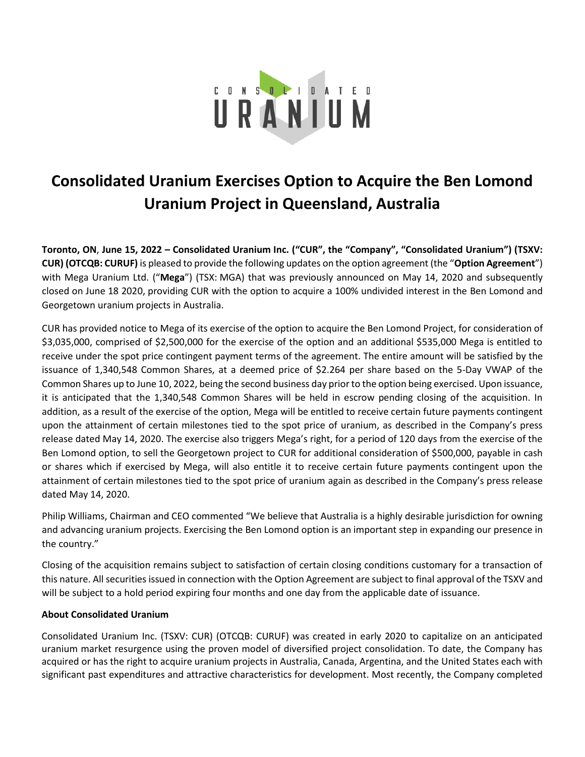

## **Consolidated Uranium Exercises Option to Acquire the Ben Lomond Uranium Project in Queensland, Australia**

**Toronto, ON**, **June 15, 2022 – Consolidated Uranium Inc. ("CUR", the "Company", "Consolidated Uranium") (TSXV: CUR) (OTCQB: CURUF)** is pleased to provide the following updates on the option agreement (the "**Option Agreement**") with Mega Uranium Ltd. ("**Mega**") (TSX: MGA) that was previously announced on May 14, 2020 and subsequently closed on June 18 2020, providing CUR with the option to acquire a 100% undivided interest in the Ben Lomond and Georgetown uranium projects in Australia.

CUR has provided notice to Mega of its exercise of the option to acquire the Ben Lomond Project, for consideration of \$3,035,000, comprised of \$2,500,000 for the exercise of the option and an additional \$535,000 Mega is entitled to receive under the spot price contingent payment terms of the agreement. The entire amount will be satisfied by the issuance of 1,340,548 Common Shares, at a deemed price of \$2.264 per share based on the 5-Day VWAP of the Common Shares up to June 10, 2022, being the second business day prior to the option being exercised. Upon issuance, it is anticipated that the 1,340,548 Common Shares will be held in escrow pending closing of the acquisition. In addition, as a result of the exercise of the option, Mega will be entitled to receive certain future payments contingent upon the attainment of certain milestones tied to the spot price of uranium, as described in the Company's press release dated May 14, 2020. The exercise also triggers Mega's right, for a period of 120 days from the exercise of the Ben Lomond option, to sell the Georgetown project to CUR for additional consideration of \$500,000, payable in cash or shares which if exercised by Mega, will also entitle it to receive certain future payments contingent upon the attainment of certain milestones tied to the spot price of uranium again as described in the Company's press release dated May 14, 2020.

Philip Williams, Chairman and CEO commented "We believe that Australia is a highly desirable jurisdiction for owning and advancing uranium projects. Exercising the Ben Lomond option is an important step in expanding our presence in the country."

Closing of the acquisition remains subject to satisfaction of certain closing conditions customary for a transaction of this nature. All securities issued in connection with the Option Agreement are subject to final approval of the TSXV and will be subject to a hold period expiring four months and one day from the applicable date of issuance.

## **About Consolidated Uranium**

Consolidated Uranium Inc. (TSXV: CUR) (OTCQB: CURUF) was created in early 2020 to capitalize on an anticipated uranium market resurgence using the proven model of diversified project consolidation. To date, the Company has acquired or has the right to acquire uranium projects in Australia, Canada, Argentina, and the United States each with significant past expenditures and attractive characteristics for development. Most recently, the Company completed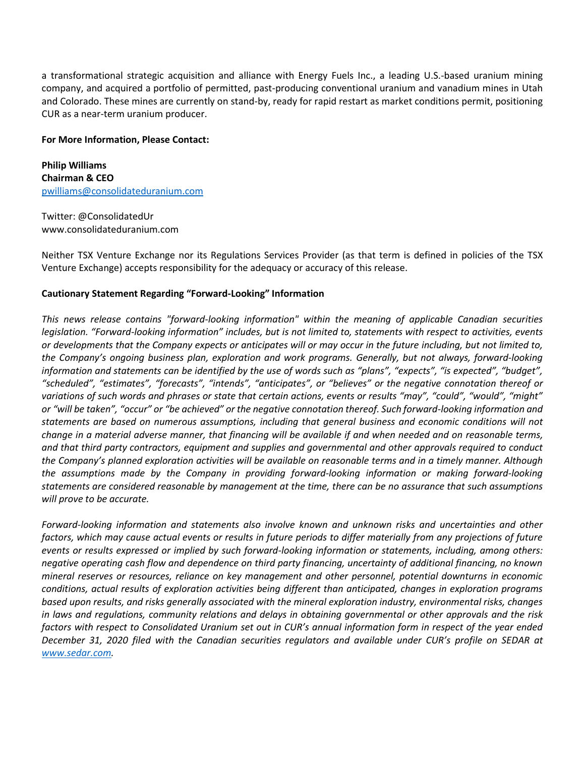a transformational strategic acquisition and alliance with Energy Fuels Inc., a leading U.S.-based uranium mining company, and acquired a portfolio of permitted, past-producing conventional uranium and vanadium mines in Utah and Colorado. These mines are currently on stand-by, ready for rapid restart as market conditions permit, positioning CUR as a near-term uranium producer.

## **For More Information, Please Contact:**

**Philip Williams Chairman & CEO** [pwilliams@consolidateduranium.com](about:blank)

Twitter: @ConsolidatedUr www.consolidateduranium.com

Neither TSX Venture Exchange nor its Regulations Services Provider (as that term is defined in policies of the TSX Venture Exchange) accepts responsibility for the adequacy or accuracy of this release.

## **Cautionary Statement Regarding "Forward-Looking" Information**

*This news release contains "forward-looking information" within the meaning of applicable Canadian securities legislation. "Forward-looking information" includes, but is not limited to, statements with respect to activities, events or developments that the Company expects or anticipates will or may occur in the future including, but not limited to, the Company's ongoing business plan, exploration and work programs. Generally, but not always, forward-looking information and statements can be identified by the use of words such as "plans", "expects", "is expected", "budget", "scheduled", "estimates", "forecasts", "intends", "anticipates", or "believes" or the negative connotation thereof or variations of such words and phrases or state that certain actions, events or results "may", "could", "would", "might" or "will be taken", "occur" or "be achieved" or the negative connotation thereof. Such forward-looking information and statements are based on numerous assumptions, including that general business and economic conditions will not change in a material adverse manner, that financing will be available if and when needed and on reasonable terms, and that third party contractors, equipment and supplies and governmental and other approvals required to conduct the Company's planned exploration activities will be available on reasonable terms and in a timely manner. Although the assumptions made by the Company in providing forward-looking information or making forward-looking statements are considered reasonable by management at the time, there can be no assurance that such assumptions will prove to be accurate.*

*Forward-looking information and statements also involve known and unknown risks and uncertainties and other factors, which may cause actual events or results in future periods to differ materially from any projections of future events or results expressed or implied by such forward-looking information or statements, including, among others: negative operating cash flow and dependence on third party financing, uncertainty of additional financing, no known mineral reserves or resources, reliance on key management and other personnel, potential downturns in economic conditions, actual results of exploration activities being different than anticipated, changes in exploration programs based upon results, and risks generally associated with the mineral exploration industry, environmental risks, changes in laws and regulations, community relations and delays in obtaining governmental or other approvals and the risk factors with respect to Consolidated Uranium set out in CUR's annual information form in respect of the year ended December 31, 2020 filed with the Canadian securities regulators and available under CUR's profile on SEDAR at [www.sedar.com.](about:blank)*